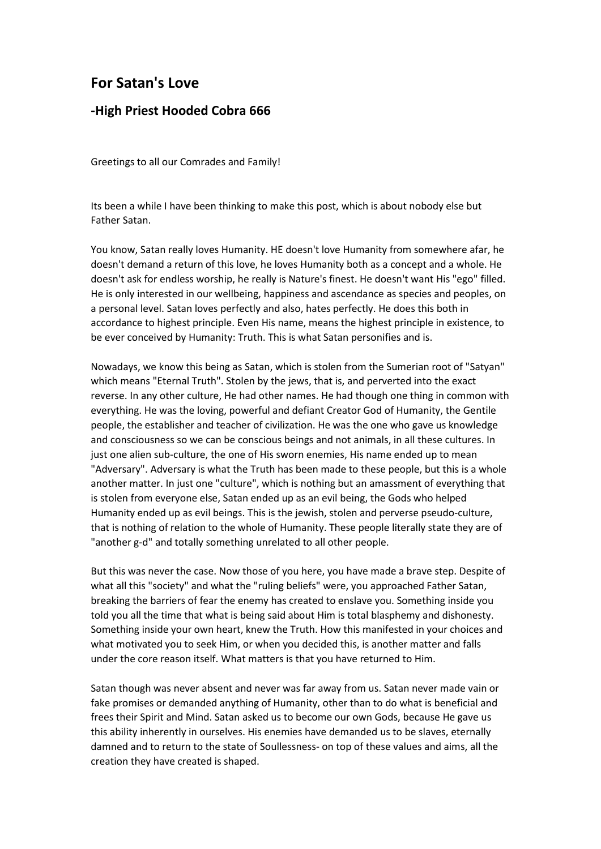## **For Satan's Love**

## **-High Priest Hooded Cobra 666**

Greetings to all our Comrades and Family!

Its been a while I have been thinking to make this post, which is about nobody else but Father Satan.

You know, Satan really loves Humanity. HE doesn't love Humanity from somewhere afar, he doesn't demand a return of this love, he loves Humanity both as a concept and a whole. He doesn't ask for endless worship, he really is Nature's finest. He doesn't want His "ego" filled. He is only interested in our wellbeing, happiness and ascendance as species and peoples, on a personal level. Satan loves perfectly and also, hates perfectly. He does this both in accordance to highest principle. Even His name, means the highest principle in existence, to be ever conceived by Humanity: Truth. This is what Satan personifies and is.

Nowadays, we know this being as Satan, which is stolen from the Sumerian root of "Satyan" which means "Eternal Truth". Stolen by the jews, that is, and perverted into the exact reverse. In any other culture, He had other names. He had though one thing in common with everything. He was the loving, powerful and defiant Creator God of Humanity, the Gentile people, the establisher and teacher of civilization. He was the one who gave us knowledge and consciousness so we can be conscious beings and not animals, in all these cultures. In just one alien sub-culture, the one of His sworn enemies, His name ended up to mean "Adversary". Adversary is what the Truth has been made to these people, but this is a whole another matter. In just one "culture", which is nothing but an amassment of everything that is stolen from everyone else, Satan ended up as an evil being, the Gods who helped Humanity ended up as evil beings. This is the jewish, stolen and perverse pseudo-culture, that is nothing of relation to the whole of Humanity. These people literally state they are of "another g-d" and totally something unrelated to all other people.

But this was never the case. Now those of you here, you have made a brave step. Despite of what all this "society" and what the "ruling beliefs" were, you approached Father Satan, breaking the barriers of fear the enemy has created to enslave you. Something inside you told you all the time that what is being said about Him is total blasphemy and dishonesty. Something inside your own heart, knew the Truth. How this manifested in your choices and what motivated you to seek Him, or when you decided this, is another matter and falls under the core reason itself. What matters is that you have returned to Him.

Satan though was never absent and never was far away from us. Satan never made vain or fake promises or demanded anything of Humanity, other than to do what is beneficial and frees their Spirit and Mind. Satan asked us to become our own Gods, because He gave us this ability inherently in ourselves. His enemies have demanded us to be slaves, eternally damned and to return to the state of Soullessness- on top of these values and aims, all the creation they have created is shaped.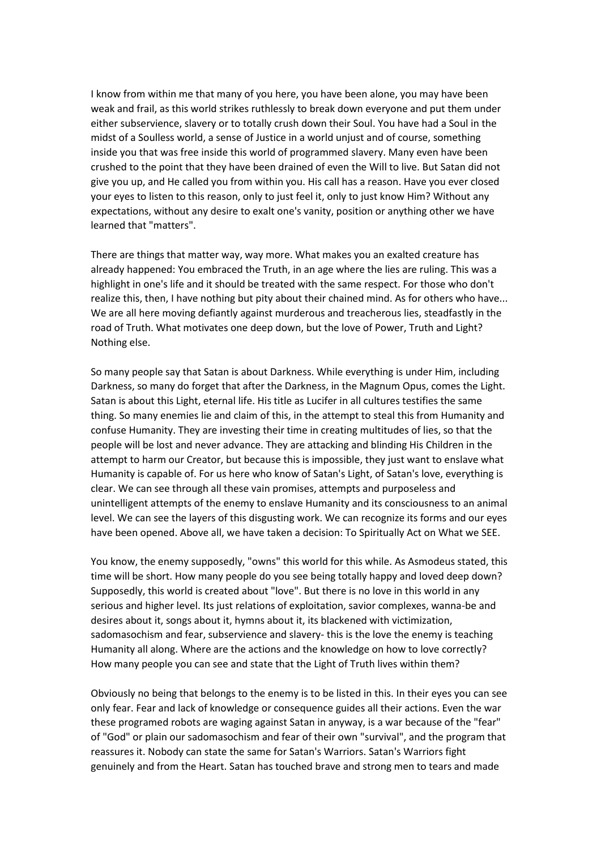I know from within me that many of you here, you have been alone, you may have been weak and frail, as this world strikes ruthlessly to break down everyone and put them under either subservience, slavery or to totally crush down their Soul. You have had a Soul in the midst of a Soulless world, a sense of Justice in a world unjust and of course, something inside you that was free inside this world of programmed slavery. Many even have been crushed to the point that they have been drained of even the Will to live. But Satan did not give you up, and He called you from within you. His call has a reason. Have you ever closed your eyes to listen to this reason, only to just feel it, only to just know Him? Without any expectations, without any desire to exalt one's vanity, position or anything other we have learned that "matters".

There are things that matter way, way more. What makes you an exalted creature has already happened: You embraced the Truth, in an age where the lies are ruling. This was a highlight in one's life and it should be treated with the same respect. For those who don't realize this, then, I have nothing but pity about their chained mind. As for others who have... We are all here moving defiantly against murderous and treacherous lies, steadfastly in the road of Truth. What motivates one deep down, but the love of Power, Truth and Light? Nothing else.

So many people say that Satan is about Darkness. While everything is under Him, including Darkness, so many do forget that after the Darkness, in the Magnum Opus, comes the Light. Satan is about this Light, eternal life. His title as Lucifer in all cultures testifies the same thing. So many enemies lie and claim of this, in the attempt to steal this from Humanity and confuse Humanity. They are investing their time in creating multitudes of lies, so that the people will be lost and never advance. They are attacking and blinding His Children in the attempt to harm our Creator, but because this is impossible, they just want to enslave what Humanity is capable of. For us here who know of Satan's Light, of Satan's love, everything is clear. We can see through all these vain promises, attempts and purposeless and unintelligent attempts of the enemy to enslave Humanity and its consciousness to an animal level. We can see the layers of this disgusting work. We can recognize its forms and our eyes have been opened. Above all, we have taken a decision: To Spiritually Act on What we SEE.

You know, the enemy supposedly, "owns" this world for this while. As Asmodeus stated, this time will be short. How many people do you see being totally happy and loved deep down? Supposedly, this world is created about "love". But there is no love in this world in any serious and higher level. Its just relations of exploitation, savior complexes, wanna-be and desires about it, songs about it, hymns about it, its blackened with victimization, sadomasochism and fear, subservience and slavery- this is the love the enemy is teaching Humanity all along. Where are the actions and the knowledge on how to love correctly? How many people you can see and state that the Light of Truth lives within them?

Obviously no being that belongs to the enemy is to be listed in this. In their eyes you can see only fear. Fear and lack of knowledge or consequence guides all their actions. Even the war these programed robots are waging against Satan in anyway, is a war because of the "fear" of "God" or plain our sadomasochism and fear of their own "survival", and the program that reassures it. Nobody can state the same for Satan's Warriors. Satan's Warriors fight genuinely and from the Heart. Satan has touched brave and strong men to tears and made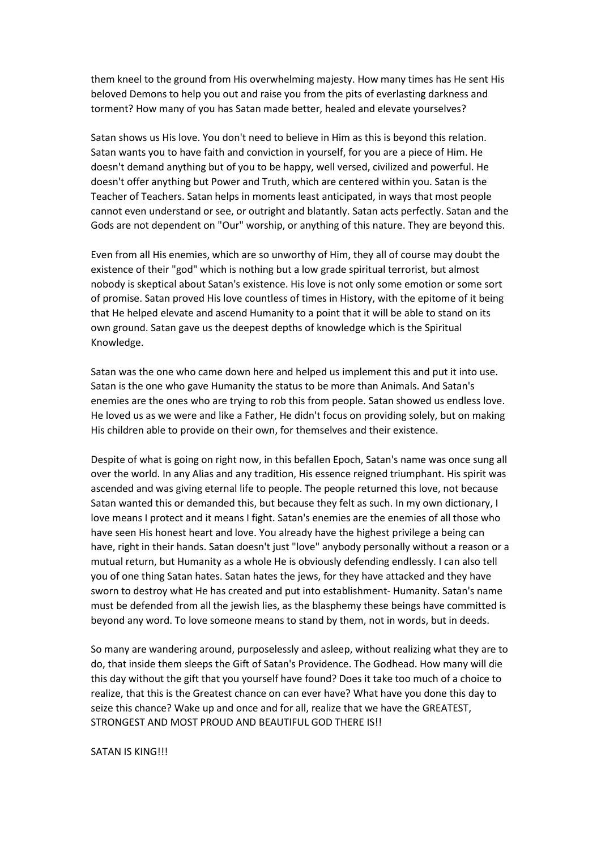them kneel to the ground from His overwhelming majesty. How many times has He sent His beloved Demons to help you out and raise you from the pits of everlasting darkness and torment? How many of you has Satan made better, healed and elevate yourselves?

Satan shows us His love. You don't need to believe in Him as this is beyond this relation. Satan wants you to have faith and conviction in yourself, for you are a piece of Him. He doesn't demand anything but of you to be happy, well versed, civilized and powerful. He doesn't offer anything but Power and Truth, which are centered within you. Satan is the Teacher of Teachers. Satan helps in moments least anticipated, in ways that most people cannot even understand or see, or outright and blatantly. Satan acts perfectly. Satan and the Gods are not dependent on "Our" worship, or anything of this nature. They are beyond this.

Even from all His enemies, which are so unworthy of Him, they all of course may doubt the existence of their "god" which is nothing but a low grade spiritual terrorist, but almost nobody is skeptical about Satan's existence. His love is not only some emotion or some sort of promise. Satan proved His love countless of times in History, with the epitome of it being that He helped elevate and ascend Humanity to a point that it will be able to stand on its own ground. Satan gave us the deepest depths of knowledge which is the Spiritual Knowledge.

Satan was the one who came down here and helped us implement this and put it into use. Satan is the one who gave Humanity the status to be more than Animals. And Satan's enemies are the ones who are trying to rob this from people. Satan showed us endless love. He loved us as we were and like a Father, He didn't focus on providing solely, but on making His children able to provide on their own, for themselves and their existence.

Despite of what is going on right now, in this befallen Epoch, Satan's name was once sung all over the world. In any Alias and any tradition, His essence reigned triumphant. His spirit was ascended and was giving eternal life to people. The people returned this love, not because Satan wanted this or demanded this, but because they felt as such. In my own dictionary, I love means I protect and it means I fight. Satan's enemies are the enemies of all those who have seen His honest heart and love. You already have the highest privilege a being can have, right in their hands. Satan doesn't just "love" anybody personally without a reason or a mutual return, but Humanity as a whole He is obviously defending endlessly. I can also tell you of one thing Satan hates. Satan hates the jews, for they have attacked and they have sworn to destroy what He has created and put into establishment- Humanity. Satan's name must be defended from all the jewish lies, as the blasphemy these beings have committed is beyond any word. To love someone means to stand by them, not in words, but in deeds.

So many are wandering around, purposelessly and asleep, without realizing what they are to do, that inside them sleeps the Gift of Satan's Providence. The Godhead. How many will die this day without the gift that you yourself have found? Does it take too much of a choice to realize, that this is the Greatest chance on can ever have? What have you done this day to seize this chance? Wake up and once and for all, realize that we have the GREATEST, STRONGEST AND MOST PROUD AND BEAUTIFUL GOD THERE IS!!

## SATAN IS KING!!!